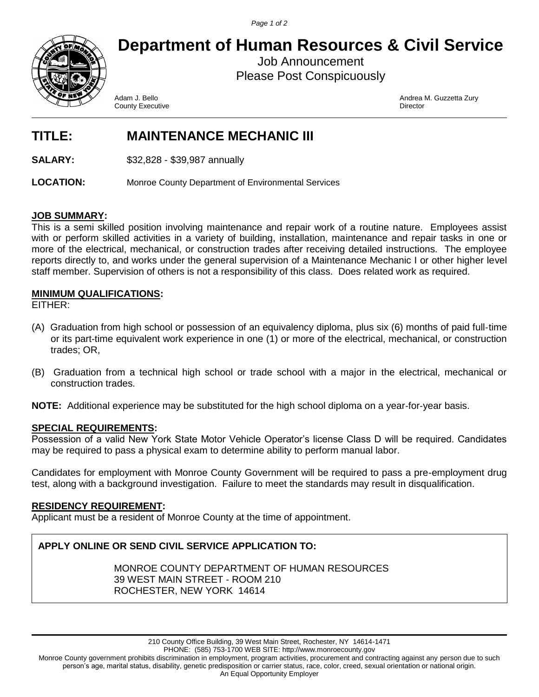*Page 1 of 2*



**Department of Human Resources & Civil Service**

Job Announcement Please Post Conspicuously

County Executive

Adam J. Bello Andrea M. Guzzetta Zury

# **TITLE: MAINTENANCE MECHANIC III**

**SALARY:** \$32,828 - \$39,987 annually

**LOCATION:** Monroe County Department of Environmental Services

#### **JOB SUMMARY:**

This is a semi skilled position involving maintenance and repair work of a routine nature. Employees assist with or perform skilled activities in a variety of building, installation, maintenance and repair tasks in one or more of the electrical, mechanical, or construction trades after receiving detailed instructions. The employee reports directly to, and works under the general supervision of a Maintenance Mechanic I or other higher level staff member. Supervision of others is not a responsibility of this class. Does related work as required.

#### **MINIMUM QUALIFICATIONS:**

EITHER:

- (A) Graduation from high school or possession of an equivalency diploma, plus six (6) months of paid full‑time or its part‑time equivalent work experience in one (1) or more of the electrical, mechanical, or construction trades; OR,
- (B) Graduation from a technical high school or trade school with a major in the electrical, mechanical or construction trades.

**NOTE:** Additional experience may be substituted for the high school diploma on a year-for-year basis.

### **SPECIAL REQUIREMENTS:**

Possession of a valid New York State Motor Vehicle Operator's license Class D will be required. Candidates may be required to pass a physical exam to determine ability to perform manual labor.

Candidates for employment with Monroe County Government will be required to pass a pre-employment drug test, along with a background investigation. Failure to meet the standards may result in disqualification.

#### **RESIDENCY REQUIREMENT:**

Applicant must be a resident of Monroe County at the time of appointment.

## **APPLY ONLINE OR SEND CIVIL SERVICE APPLICATION TO:**

MONROE COUNTY DEPARTMENT OF HUMAN RESOURCES 39 WEST MAIN STREET - ROOM 210 ROCHESTER, NEW YORK 14614